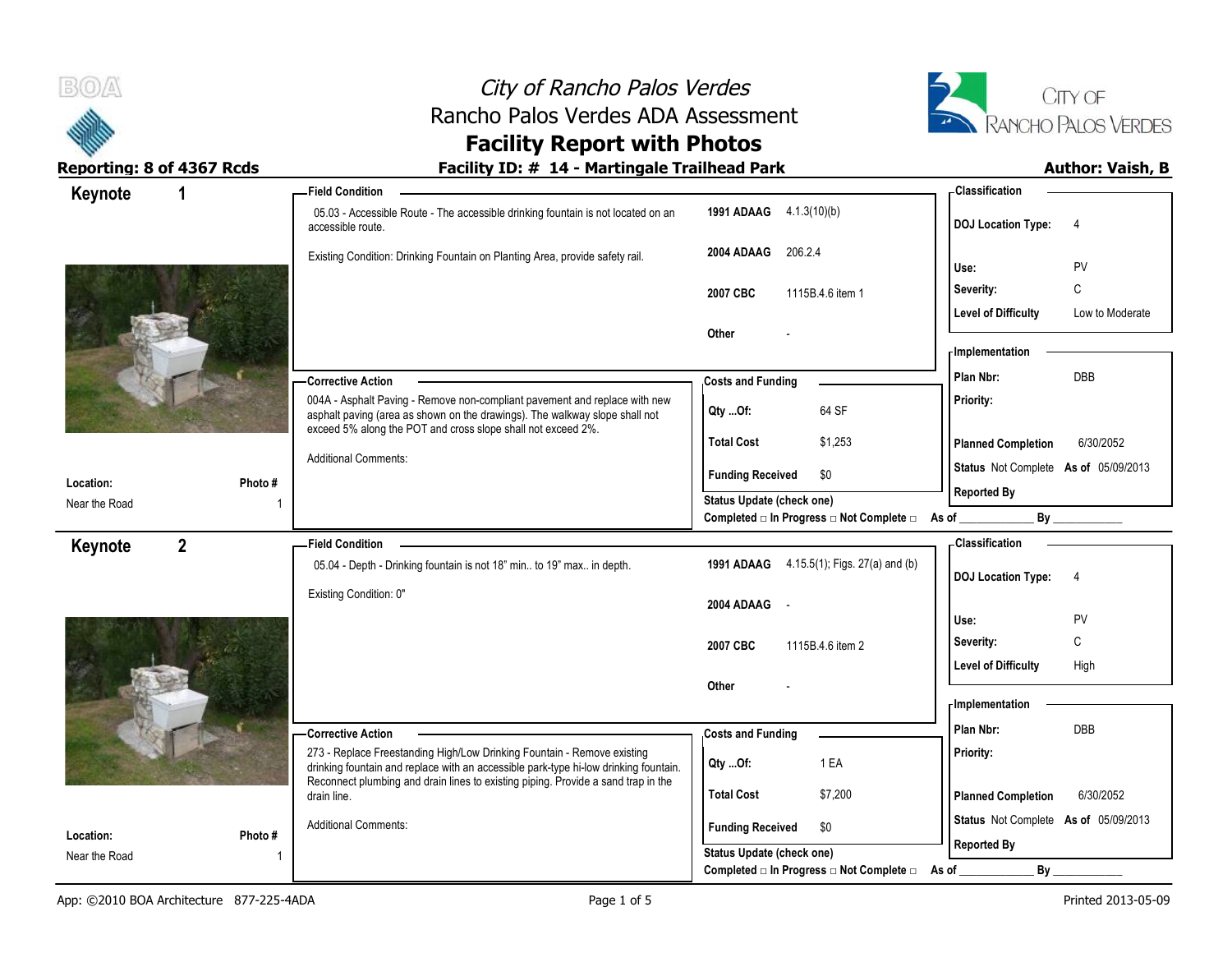

# City of Rancho Palos Verdes Rancho Palos Verdes ADA Assessment



# **Facility Report with Photos**

### Reporting: 8 of 4367 Rcds **Facility ID: # 14 - Martingale Trailhead Park Author: Vaish, B**

| Keynote<br>1               |         | - Field Condition                                                                                                                                                                                                                                    |                                                                              | - Classification                              |
|----------------------------|---------|------------------------------------------------------------------------------------------------------------------------------------------------------------------------------------------------------------------------------------------------------|------------------------------------------------------------------------------|-----------------------------------------------|
|                            |         | 05.03 - Accessible Route - The accessible drinking fountain is not located on an<br>accessible route.                                                                                                                                                | 1991 ADAAG 4.1.3(10)(b)                                                      | <b>DOJ Location Type:</b><br>$\overline{4}$   |
|                            |         | Existing Condition: Drinking Fountain on Planting Area, provide safety rail.                                                                                                                                                                         | 206.2.4<br>2004 ADAAG                                                        | Use:<br><b>PV</b>                             |
|                            |         |                                                                                                                                                                                                                                                      | 2007 CBC<br>1115B.4.6 item 1                                                 | С<br>Severity:                                |
|                            |         |                                                                                                                                                                                                                                                      |                                                                              | <b>Level of Difficulty</b><br>Low to Moderate |
|                            |         |                                                                                                                                                                                                                                                      | Other                                                                        |                                               |
|                            |         |                                                                                                                                                                                                                                                      |                                                                              | - Implementation                              |
|                            |         | <b>Corrective Action</b>                                                                                                                                                                                                                             | <b>Costs and Funding</b>                                                     | Plan Nbr:<br><b>DBB</b>                       |
|                            |         | 004A - Asphalt Paving - Remove non-compliant pavement and replace with new<br>asphalt paving (area as shown on the drawings). The walkway slope shall not<br>exceed 5% along the POT and cross slope shall not exceed 2%.                            | 64 SF<br>QtyOf:                                                              | Priority:                                     |
|                            |         |                                                                                                                                                                                                                                                      | <b>Total Cost</b><br>\$1,253                                                 | <b>Planned Completion</b><br>6/30/2052        |
|                            |         | <b>Additional Comments:</b>                                                                                                                                                                                                                          | <b>Funding Received</b><br>\$0                                               | Status Not Complete As of 05/09/2013          |
| Location:<br>Near the Road | Photo # |                                                                                                                                                                                                                                                      | Status Update (check one)                                                    | <b>Reported By</b>                            |
|                            |         |                                                                                                                                                                                                                                                      | Completed □ In Progress □ Not Complete □ As of __                            | By                                            |
| $\overline{2}$<br>Keynote  |         | <b>Field Condition</b>                                                                                                                                                                                                                               |                                                                              | - Classification                              |
|                            |         | 05.04 - Depth - Drinking fountain is not 18" min to 19" max in depth.                                                                                                                                                                                | 1991 ADAAG 4.15.5(1); Figs. 27(a) and (b)                                    | <b>DOJ Location Type:</b><br>-4               |
|                            |         | Existing Condition: 0"                                                                                                                                                                                                                               |                                                                              |                                               |
|                            |         |                                                                                                                                                                                                                                                      | 2004 ADAAG<br>$\sim$ $\sim$                                                  | PV<br>Use:                                    |
|                            |         |                                                                                                                                                                                                                                                      | 2007 CBC<br>1115B.4.6 item 2                                                 | C<br>Severity:                                |
|                            |         |                                                                                                                                                                                                                                                      |                                                                              | <b>Level of Difficulty</b><br>High            |
|                            |         |                                                                                                                                                                                                                                                      | Other                                                                        |                                               |
|                            |         |                                                                                                                                                                                                                                                      |                                                                              | - Implementation                              |
|                            |         | <b>Corrective Action</b>                                                                                                                                                                                                                             | <b>Costs and Funding</b>                                                     | Plan Nbr:<br>DBB                              |
|                            |         | 273 - Replace Freestanding High/Low Drinking Fountain - Remove existing<br>drinking fountain and replace with an accessible park-type hi-low drinking fountain.<br>Reconnect plumbing and drain lines to existing piping. Provide a sand trap in the | 1 EA<br>Qty Of:                                                              | Priority:                                     |
|                            |         | drain line.                                                                                                                                                                                                                                          | <b>Total Cost</b><br>\$7,200                                                 | <b>Planned Completion</b><br>6/30/2052        |
|                            |         | <b>Additional Comments:</b>                                                                                                                                                                                                                          |                                                                              | Status Not Complete As of 05/09/2013          |
| Location:                  | Photo#  |                                                                                                                                                                                                                                                      | <b>Funding Received</b><br>\$0                                               |                                               |
| Near the Road              |         |                                                                                                                                                                                                                                                      | <b>Status Update (check one)</b><br>Completed □ In Progress □ Not Complete □ | <b>Reported By</b><br>By<br>As of             |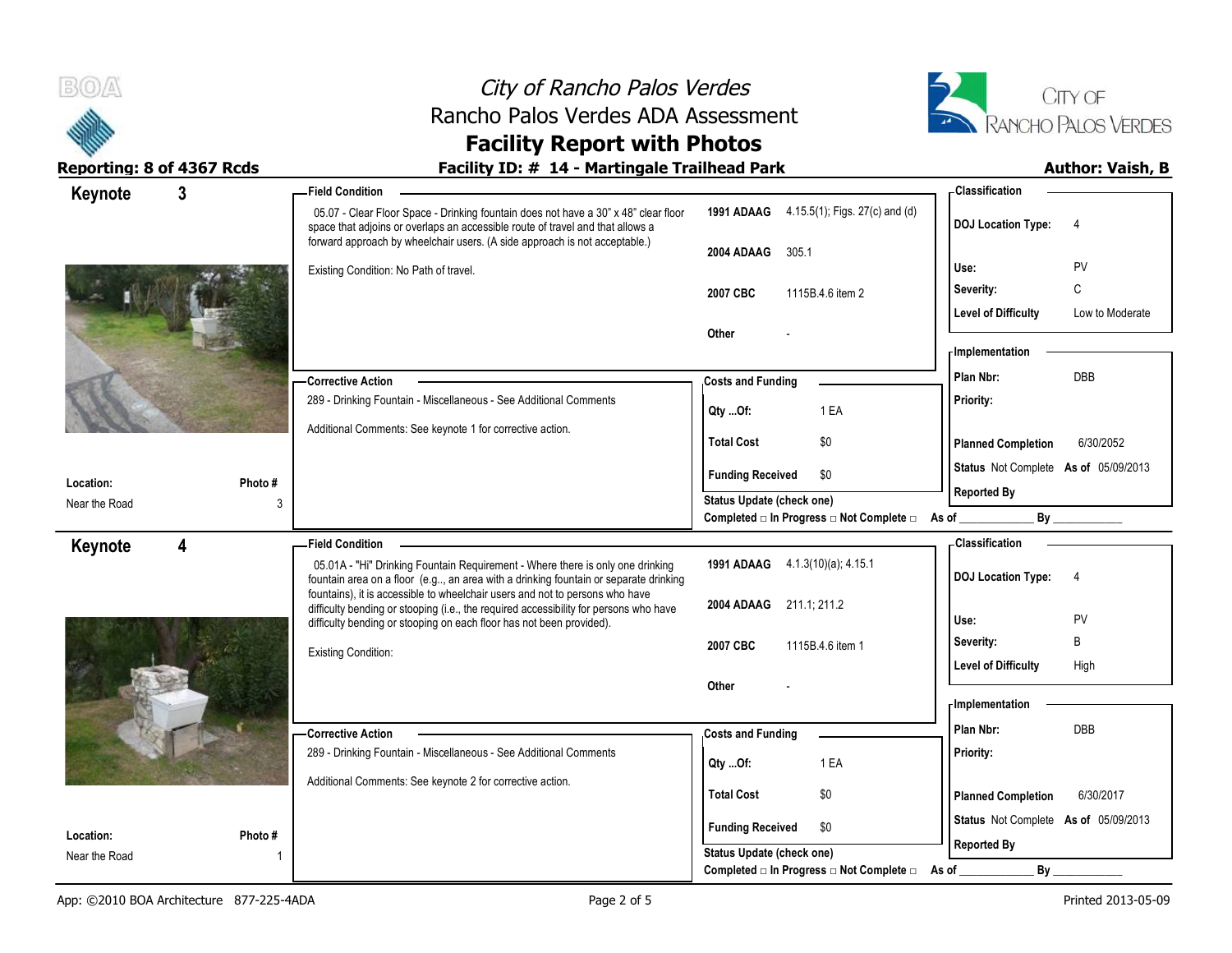

## City of Rancho Palos Verdes Rancho Palos Verdes ADA Assessment



## **Facility Report with Photos**

### Reporting: 8 of 4367 Rcds **Facility ID: # 14 - Martingale Trailhead Park Author: Vaish, B**

| Keynote                    | 3           | <b>Field Condition</b>                                                                                                                                                                                                                              |                                                | - Classification                            |
|----------------------------|-------------|-----------------------------------------------------------------------------------------------------------------------------------------------------------------------------------------------------------------------------------------------------|------------------------------------------------|---------------------------------------------|
|                            |             | 05.07 - Clear Floor Space - Drinking fountain does not have a 30" x 48" clear floor<br>space that adjoins or overlaps an accessible route of travel and that allows a<br>forward approach by wheelchair users. (A side approach is not acceptable.) | 1991 ADAAG 4.15.5(1); Figs. 27(c) and (d)      | <b>DOJ Location Type:</b><br>$\overline{4}$ |
|                            |             |                                                                                                                                                                                                                                                     | 2004 ADAAG<br>305.1                            |                                             |
|                            |             | Existing Condition: No Path of travel.                                                                                                                                                                                                              |                                                | PV<br>Use:                                  |
|                            |             |                                                                                                                                                                                                                                                     | 2007 CBC<br>1115B.4.6 item 2                   | C<br>Severity:                              |
|                            |             |                                                                                                                                                                                                                                                     |                                                | Level of Difficulty<br>Low to Moderate      |
|                            |             |                                                                                                                                                                                                                                                     | Other                                          | <b>Implementation</b>                       |
|                            |             |                                                                                                                                                                                                                                                     |                                                | <b>DBB</b><br>Plan Nbr:                     |
|                            |             | -Corrective Action<br>289 - Drinking Fountain - Miscellaneous - See Additional Comments                                                                                                                                                             | <b>Costs and Funding</b>                       | Priority:                                   |
|                            |             |                                                                                                                                                                                                                                                     | 1 EA<br>Qty Of:                                |                                             |
|                            |             | Additional Comments: See keynote 1 for corrective action.                                                                                                                                                                                           | <b>Total Cost</b><br>\$0                       | <b>Planned Completion</b><br>6/30/2052      |
|                            |             |                                                                                                                                                                                                                                                     | <b>Funding Received</b><br>\$0                 | Status Not Complete As of 05/09/2013        |
| Location:<br>Near the Road | Photo#<br>3 |                                                                                                                                                                                                                                                     | Status Update (check one)                      | <b>Reported By</b>                          |
|                            |             |                                                                                                                                                                                                                                                     | Completed □ In Progress □ Not Complete □ As of |                                             |
| Keynote                    | 4           | <b>Field Condition</b>                                                                                                                                                                                                                              |                                                | - Classification                            |
|                            |             | 05.01A - "Hi" Drinking Fountain Requirement - Where there is only one drinking<br>fountain area on a floor (e.g, an area with a drinking fountain or separate drinking                                                                              | 1991 ADAAG 4.1.3(10)(a); 4.15.1                | <b>DOJ Location Type:</b><br>$\overline{4}$ |
|                            |             | fountains), it is accessible to wheelchair users and not to persons who have<br>difficulty bending or stooping (i.e., the required accessibility for persons who have                                                                               | 2004 ADAAG 211.1, 211.2                        |                                             |
|                            |             | difficulty bending or stooping on each floor has not been provided).                                                                                                                                                                                |                                                | PV<br>Use:                                  |
|                            |             | <b>Existing Condition:</b>                                                                                                                                                                                                                          | 2007 CBC<br>1115B.4.6 item 1                   | B<br>Severity:                              |
|                            |             |                                                                                                                                                                                                                                                     |                                                | <b>Level of Difficulty</b><br>High          |
|                            |             |                                                                                                                                                                                                                                                     | Other                                          |                                             |
|                            |             |                                                                                                                                                                                                                                                     |                                                | - Implementation                            |
|                            |             | <b>Corrective Action</b>                                                                                                                                                                                                                            | <b>Costs and Funding</b>                       | DBB<br>Plan Nbr:                            |
|                            |             | 289 - Drinking Fountain - Miscellaneous - See Additional Comments                                                                                                                                                                                   | 1 EA<br>Qty Of:                                | Priority:                                   |
|                            |             | Additional Comments: See keynote 2 for corrective action.                                                                                                                                                                                           | <b>Total Cost</b><br>\$0                       |                                             |
|                            |             |                                                                                                                                                                                                                                                     |                                                | <b>Planned Completion</b><br>6/30/2017      |
| Location:                  | Photo #     |                                                                                                                                                                                                                                                     | <b>Funding Received</b><br>\$0                 | Status Not Complete As of 05/09/2013        |
| Near the Road              |             |                                                                                                                                                                                                                                                     | Status Update (check one)                      | <b>Reported By</b>                          |
|                            |             |                                                                                                                                                                                                                                                     | Completed □ In Progress □ Not Complete □ As of | $By_$                                       |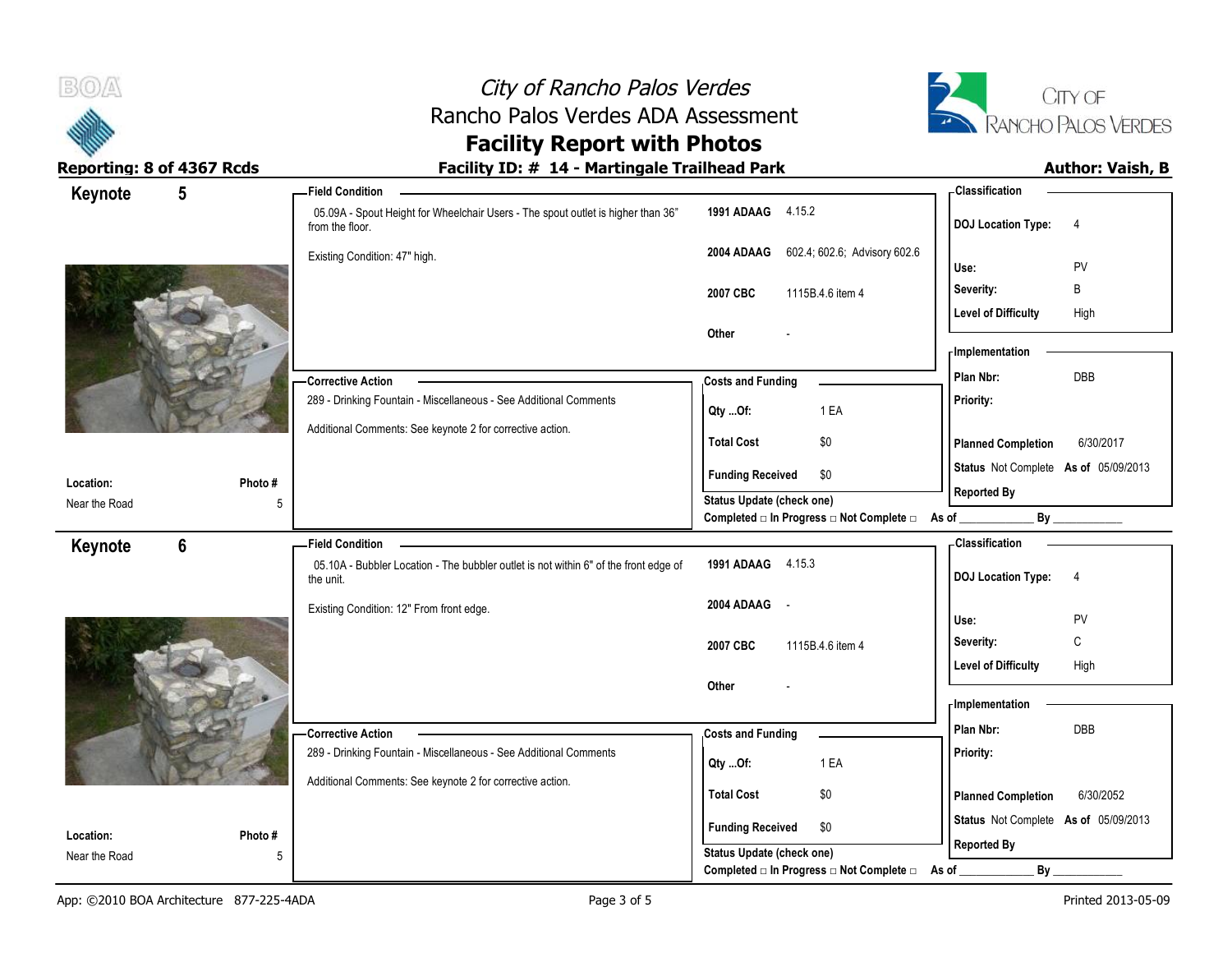



**Location:** Near the Road

App: ©2010 BOA Architecture 877-225-4ADA Page 3 of 5 Printed 2013-05-09 Page 3 of 5 Printed 2013-05-09

**Photo #**

**Other** -

**Total Cost** \$0

**Qty ...Of:** 1 EA

**Funding Received \$0 Status Update (check one)**

289 - Drinking Fountain - Miscellaneous - See Additional Comments

Additional Comments: See keynote 2 for corrective action.

**Corrective Action** 

5

**Status** Not Complete **As of** 05/09/2013

**Planned Completion** 6/30/2052

Level of Difficulty High

**Priority:**

**Reported By**

**Implementation**

**Costs and Funding <b>Plan Nbr:** DBB

Completed □ In Progress □ Not Complete □ As of \_\_\_\_\_\_\_\_\_\_\_\_\_\_\_\_\_ By \_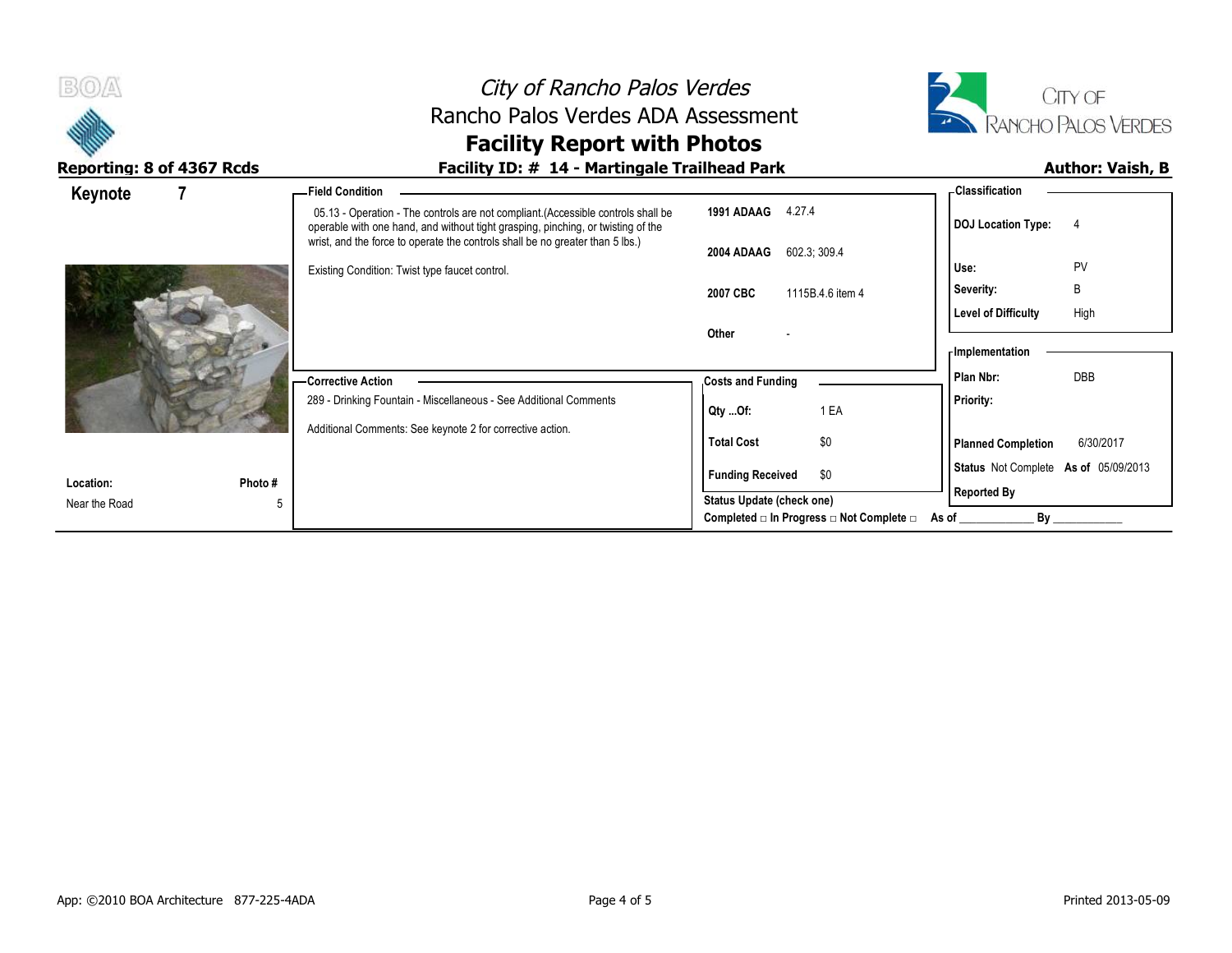| B(0)                      | City of Rancho Palos Verdes<br>Rancho Palos Verdes ADA Assessment<br><b>Facility Report with Photos</b>                                                                                                                                                |                                                                             | CITY OF<br>RANCHO PALOS VERDES                             |  |  |
|---------------------------|--------------------------------------------------------------------------------------------------------------------------------------------------------------------------------------------------------------------------------------------------------|-----------------------------------------------------------------------------|------------------------------------------------------------|--|--|
| Reporting: 8 of 4367 Rcds | Facility ID: # 14 - Martingale Trailhead Park                                                                                                                                                                                                          |                                                                             | <b>Author: Vaish, B</b>                                    |  |  |
| Keynote                   | -Field Condition                                                                                                                                                                                                                                       |                                                                             | - Classification                                           |  |  |
|                           | 05.13 - Operation - The controls are not compliant. (Accessible controls shall be<br>operable with one hand, and without tight grasping, pinching, or twisting of the<br>wrist, and the force to operate the controls shall be no greater than 5 lbs.) | 1991 ADAAG 4.27.4                                                           | DOJ Location Type: 4                                       |  |  |
|                           | Existing Condition: Twist type faucet control.                                                                                                                                                                                                         | 602.3, 309.4<br>2004 ADAAG                                                  | PV<br>Use:                                                 |  |  |
|                           |                                                                                                                                                                                                                                                        | 2007 CBC<br>1115B.4.6 item 4                                                | B<br>Severity:<br><b>Level of Difficulty</b><br>High       |  |  |
|                           |                                                                                                                                                                                                                                                        | Other                                                                       | - Implementation                                           |  |  |
|                           | - Corrective Action<br>289 - Drinking Fountain - Miscellaneous - See Additional Comments                                                                                                                                                               | <b>Costs and Funding</b>                                                    | <b>DBB</b><br>Plan Nbr:                                    |  |  |
|                           |                                                                                                                                                                                                                                                        | 1 EA<br>$Qty$ Of:                                                           | <b>Priority:</b>                                           |  |  |
|                           | Additional Comments: See keynote 2 for corrective action.                                                                                                                                                                                              | \$0<br><b>Total Cost</b>                                                    | <b>Planned Completion</b><br>6/30/2017                     |  |  |
| Photo #<br>Location:      |                                                                                                                                                                                                                                                        | <b>Funding Received</b><br>\$0                                              | Status Not Complete As of 05/09/2013<br><b>Reported By</b> |  |  |
| Near the Road             |                                                                                                                                                                                                                                                        | Status Update (check one)<br>Completed □ In Progress □ Not Complete □ As of | By                                                         |  |  |